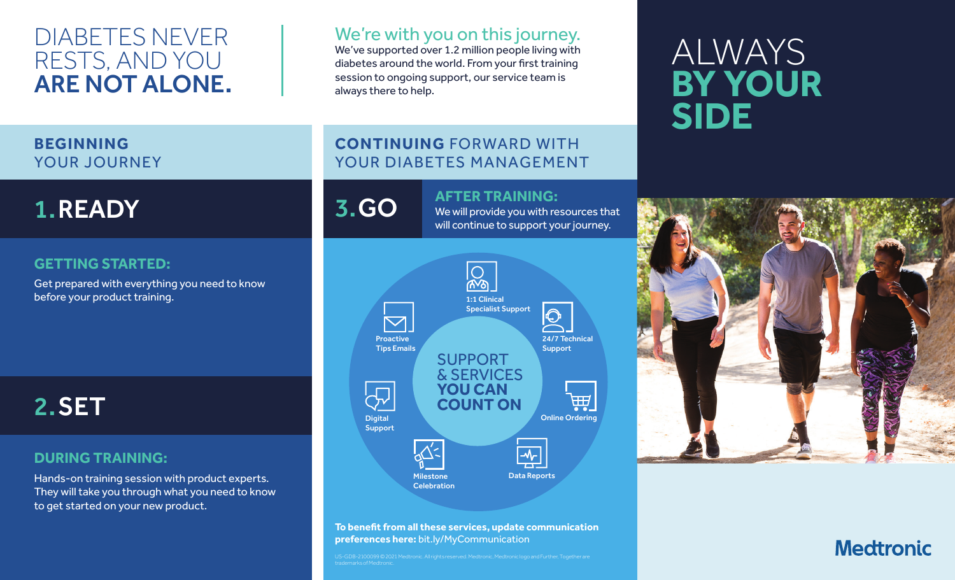## DIABETES NEVER RESTS, AND YOU ARE NOT ALONE.

### We're with you on this journey.

We've supported over 1.2 million people living with diabetes around the world. From your first training session to ongoing support, our service team is always there to help.

### **BEGINNING**  YOUR JOURNEY

# 1.READY

### **GETTING STARTED:**

Get prepared with everything you need to know before your product training.

2.SET

#### **DURING TRAINING:**

Hands-on training session with product experts. They will take you through what you need to know to get started on your new product.

### **CONTINUING** FORWARD WITH YOUR DIABETES MANAGEMENT



# **3. GO AFTER TRAINING:**<br>We will provide you with re

We will provide you with resources that will continue to support your journey.



**To benefit from all these services, update communication preferences here:** bit.ly/MyCommunication

US-GDB-2100099 © 2021 Medtronic. All rights reserved. Medtronic, Medtronic logo and Further, Together are

# ALWAYS **BY YOUR SIDE**



## **Medtronic**